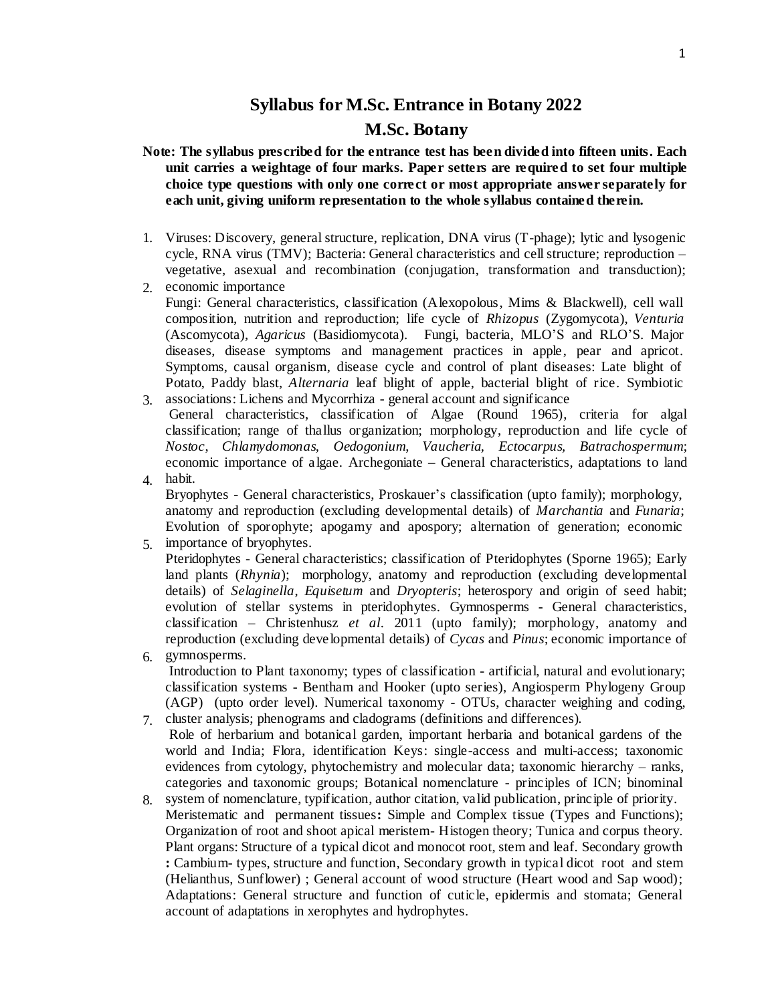## **Syllabus for M.Sc. Entrance in Botany 2022 M.Sc. Botany**

- **Note: The syllabus prescribed for the entrance test has been divided into fifteen units. Each unit carries a weightage of four marks. Paper setters are required to set four multiple choice type questions with only one correct or most appropriate answer separately for each unit, giving uniform representation to the whole syllabus contained therein.**
- 1. Viruses: Discovery, general structure, replication, DNA virus (T-phage); lytic and lysogenic cycle, RNA virus (TMV); Bacteria: General characteristics and cellstructure; reproduction – vegetative, asexual and recombination (conjugation, transformation and transduction);
- 2. economic importance Fungi: General characteristics, classification (Alexopolous, Mims & Blackwell), cell wall composition, nutrition and reproduction; life cycle of *Rhizopus* (Zygomycota), *Venturia* (Ascomycota), *Agaricus* (Basidiomycota). Fungi, bacteria, MLO'S and RLO'S. Major diseases, disease symptoms and management practices in apple, pear and apricot. Symptoms, causal organism, disease cycle and control of plant diseases: Late blight of Potato, Paddy blast, *Alternaria* leaf blight of apple, bacterial blight of rice. Symbiotic
- 3. associations: Lichens and Mycorrhiza general account and significance 4. General characteristics, classification of Algae (Round 1965), criteria for algal classification; range of thallus organization; morphology, reproduction and life cycle of *Nostoc*, *Chlamydomonas, Oedogonium*, *Vaucheria, Ectocarpus, Batrachospermum*; economic importance of algae. Archegoniate **–** General characteristics, adaptations to land habit.
- 5. importance of bryophytes. Bryophytes - General characteristics, Proskauer's classification (upto family); morphology, anatomy and reproduction (excluding developmental details) of *Marchantia* and *Funaria*; Evolution of sporophyte; apogamy and apospory; alternation of generation; economic
- Pteridophytes General characteristics; classification of Pteridophytes (Sporne 1965); Early land plants (*Rhynia*); morphology, anatomy and reproduction (excluding developmental details) of *Selaginella*, *Equisetum* and *Dryopteris*; heterospory and origin of seed habit; evolution of stellar systems in pteridophytes. Gymnosperms **-** General characteristics, classification – Christenhusz *et al*. 2011 (upto family); morphology, anatomy and reproduction (excluding developmental details) of *Cycas* and *Pinus*; economic importance of
- 6. gymnosperms. Introduction to Plant taxonomy; types of classification - artificial, natural and evolutionary; classification systems - Bentham and Hooker (upto series), Angiosperm Phylogeny Group (AGP) (upto order level). Numerical taxonomy - OTUs, character weighing and coding,
- 7. cluster analysis; phenograms and cladograms (definitions and differences). Role of herbarium and botanical garden, important herbaria and botanical gardens of the world and India; Flora, identification Keys: single-access and multi-access; taxonomic evidences from cytology, phytochemistry and molecular data; taxonomic hierarchy – ranks, categories and taxonomic groups; Botanical nomenclature - principles of ICN; binominal
- 8. system of nomenclature, typification, author citation, valid publication, principle of priority. Meristematic and permanent tissues**:** Simple and Complex tissue (Types and Functions); Organization of root and shoot apical meristem- Histogen theory; Tunica and corpus theory. Plant organs: Structure of a typical dicot and monocot root, stem and leaf. Secondary growth **:** Cambium- types, structure and function, Secondary growth in typical dicot root and stem (Helianthus, Sunflower) ; General account of wood structure (Heart wood and Sap wood); Adaptations: General structure and function of cuticle, epidermis and stomata; General account of adaptations in xerophytes and hydrophytes.